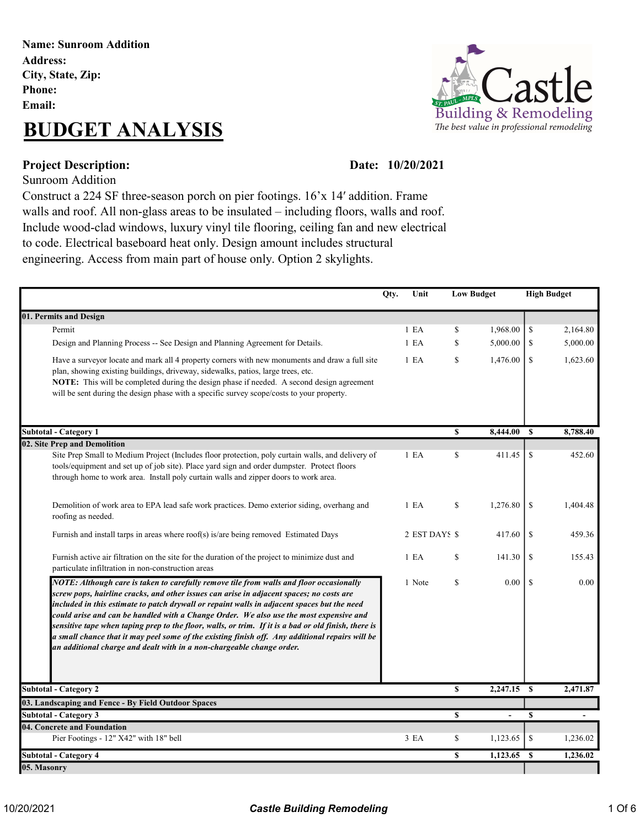#### Name: Sunroom Addition Address: City, State, Zip: Phone: Email:

## BUDGET ANALYSIS



#### Date: 10/20/2021

Project Description: Sunroom Addition

Construct a 224 SF three-season porch on pier footings. 16'x 14′ addition. Frame walls and roof. All non-glass areas to be insulated – including floors, walls and roof. Include wood-clad windows, luxury vinyl tile flooring, ceiling fan and new electrical to code. Electrical baseboard heat only. Design amount includes structural engineering. Access from main part of house only. Option 2 skylights.

|                                                                                                                                                                                                                                                                                                                                                                                                                                                                                                                                                                                                                                                                  | Qty. | Unit             |              | <b>Low Budget</b> |               | <b>High Budget</b> |
|------------------------------------------------------------------------------------------------------------------------------------------------------------------------------------------------------------------------------------------------------------------------------------------------------------------------------------------------------------------------------------------------------------------------------------------------------------------------------------------------------------------------------------------------------------------------------------------------------------------------------------------------------------------|------|------------------|--------------|-------------------|---------------|--------------------|
| 01. Permits and Design                                                                                                                                                                                                                                                                                                                                                                                                                                                                                                                                                                                                                                           |      |                  |              |                   |               |                    |
| Permit                                                                                                                                                                                                                                                                                                                                                                                                                                                                                                                                                                                                                                                           |      | 1 E A            | \$           | 1,968.00          | \$            | 2,164.80           |
| Design and Planning Process -- See Design and Planning Agreement for Details.                                                                                                                                                                                                                                                                                                                                                                                                                                                                                                                                                                                    |      | 1 E A            | \$           | 5,000.00          | \$            | 5,000.00           |
| Have a surveyor locate and mark all 4 property corners with new monuments and draw a full site<br>plan, showing existing buildings, driveway, sidewalks, patios, large trees, etc.<br>NOTE: This will be completed during the design phase if needed. A second design agreement<br>will be sent during the design phase with a specific survey scope/costs to your property.                                                                                                                                                                                                                                                                                     |      | 1 E A            | \$           | 1,476.00          | \$            | 1,623.60           |
| <b>Subtotal - Category 1</b>                                                                                                                                                                                                                                                                                                                                                                                                                                                                                                                                                                                                                                     |      |                  | $\mathbf s$  | 8,444.00          | <b>S</b>      | 8,788.40           |
| 02. Site Prep and Demolition                                                                                                                                                                                                                                                                                                                                                                                                                                                                                                                                                                                                                                     |      |                  |              |                   |               |                    |
| Site Prep Small to Medium Project (Includes floor protection, poly curtain walls, and delivery of<br>tools/equipment and set up of job site). Place yard sign and order dumpster. Protect floors<br>through home to work area. Install poly curtain walls and zipper doors to work area.                                                                                                                                                                                                                                                                                                                                                                         |      | 1 E A            | \$           | 411.45            | \$            | 452.60             |
| Demolition of work area to EPA lead safe work practices. Demo exterior siding, overhang and<br>roofing as needed.                                                                                                                                                                                                                                                                                                                                                                                                                                                                                                                                                |      | 1 E A            | $\mathbf S$  | 1,276.80          | <sup>\$</sup> | 1,404.48           |
| Furnish and install tarps in areas where $\text{roof}(s)$ is/are being removed Estimated Days                                                                                                                                                                                                                                                                                                                                                                                                                                                                                                                                                                    |      | 2 EST DAYS \$    |              | 417.60            | <sup>\$</sup> | 459.36             |
| Furnish active air filtration on the site for the duration of the project to minimize dust and<br>particulate infiltration in non-construction areas                                                                                                                                                                                                                                                                                                                                                                                                                                                                                                             |      | 1 E <sub>A</sub> | \$           | 141.30            | <sup>\$</sup> | 155.43             |
| NOTE: Although care is taken to carefully remove tile from walls and floor occasionally<br>screw pops, hairline cracks, and other issues can arise in adjacent spaces; no costs are<br>included in this estimate to patch drywall or repaint walls in adjacent spaces but the need<br>could arise and can be handled with a Change Order. We also use the most expensive and<br>sensitive tape when taping prep to the floor, walls, or trim. If it is a bad or old finish, there is<br>a small chance that it may peel some of the existing finish off. Any additional repairs will be<br>an additional charge and dealt with in a non-chargeable change order. |      | 1 Note           | \$           | 0.00              | $\mathcal{S}$ | 0.00               |
| <b>Subtotal - Category 2</b>                                                                                                                                                                                                                                                                                                                                                                                                                                                                                                                                                                                                                                     |      |                  | $\mathbf{s}$ | $2,247.15$ \$     |               | 2,471.87           |
| 03. Landscaping and Fence - By Field Outdoor Spaces                                                                                                                                                                                                                                                                                                                                                                                                                                                                                                                                                                                                              |      |                  |              |                   |               |                    |
| <b>Subtotal - Category 3</b>                                                                                                                                                                                                                                                                                                                                                                                                                                                                                                                                                                                                                                     |      |                  | \$           | ÷,                | \$            |                    |
| 04. Concrete and Foundation<br>Pier Footings - 12" X42" with 18" bell                                                                                                                                                                                                                                                                                                                                                                                                                                                                                                                                                                                            |      | 3 EA             | \$           | 1,123.65          | $\mathcal{S}$ | 1,236.02           |
| Subtotal - Category 4                                                                                                                                                                                                                                                                                                                                                                                                                                                                                                                                                                                                                                            |      |                  | \$           | 1,123.65          | <sup>\$</sup> | 1,236.02           |
| 05. Masonry                                                                                                                                                                                                                                                                                                                                                                                                                                                                                                                                                                                                                                                      |      |                  |              |                   |               |                    |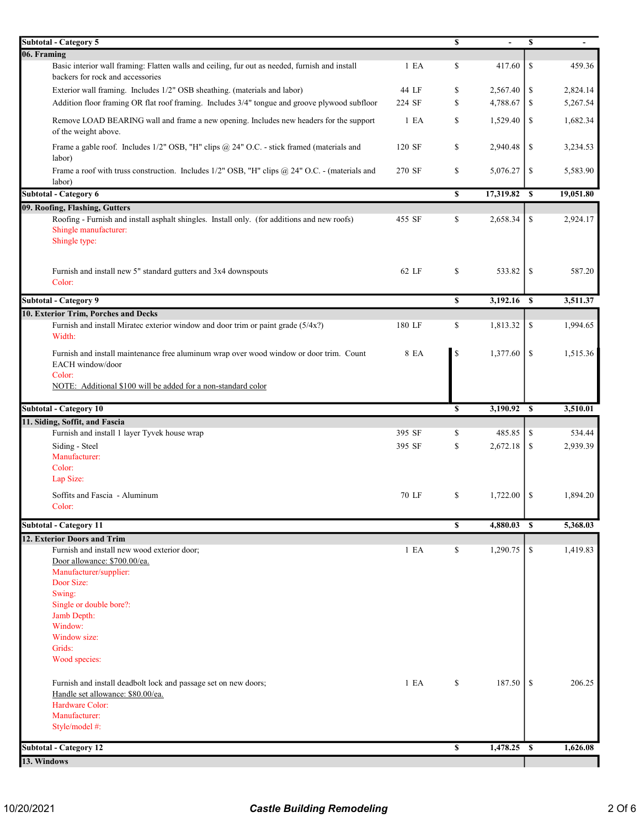| <b>Subtotal - Category 5</b>                                                                                                                                                           |        | \$                | \$            | $\overline{\phantom{a}}$ |
|----------------------------------------------------------------------------------------------------------------------------------------------------------------------------------------|--------|-------------------|---------------|--------------------------|
| 06. Framing                                                                                                                                                                            |        |                   |               |                          |
| Basic interior wall framing: Flatten walls and ceiling, fur out as needed, furnish and install<br>backers for rock and accessories                                                     | 1 E A  | \$<br>417.60      | <sup>\$</sup> | 459.36                   |
| Exterior wall framing. Includes 1/2" OSB sheathing. (materials and labor)                                                                                                              | 44 LF  | \$<br>2,567.40    | \$            | 2,824.14                 |
| Addition floor framing OR flat roof framing. Includes 3/4" tongue and groove plywood subfloor                                                                                          | 224 SF | \$<br>4,788.67    | \$            | 5,267.54                 |
| Remove LOAD BEARING wall and frame a new opening. Includes new headers for the support<br>of the weight above.                                                                         | 1 E A  | \$<br>1,529.40    | <sup>\$</sup> | 1,682.34                 |
| Frame a gable roof. Includes 1/2" OSB, "H" clips @ 24" O.C. - stick framed (materials and<br>labor)                                                                                    | 120 SF | \$<br>2,940.48    | \$            | 3,234.53                 |
| Frame a roof with truss construction. Includes 1/2" OSB, "H" clips @ 24" O.C. - (materials and<br>labor)                                                                               | 270 SF | \$<br>5,076.27    | \$            | 5,583.90                 |
| <b>Subtotal - Category 6</b>                                                                                                                                                           |        | \$<br>17,319.82   | $\mathbf{s}$  | 19,051.80                |
| 09. Roofing, Flashing, Gutters                                                                                                                                                         |        |                   |               |                          |
| Roofing - Furnish and install asphalt shingles. Install only. (for additions and new roofs)<br>Shingle manufacturer:<br>Shingle type:                                                  | 455 SF | \$<br>2,658.34    | \$            | 2,924.17                 |
| Furnish and install new 5" standard gutters and 3x4 downspouts<br>Color:                                                                                                               | 62 LF  | \$<br>533.82      | <sup>\$</sup> | 587.20                   |
| <b>Subtotal - Category 9</b>                                                                                                                                                           |        | \$<br>3,192.16 \$ |               | 3,511.37                 |
| 10. Exterior Trim, Porches and Decks                                                                                                                                                   |        |                   |               |                          |
| Furnish and install Miratec exterior window and door trim or paint grade (5/4x?)<br>Width:                                                                                             | 180 LF | \$<br>1,813.32    | \$            | 1,994.65                 |
| Furnish and install maintenance free aluminum wrap over wood window or door trim. Count<br>EACH window/door<br>Color:<br>NOTE: Additional \$100 will be added for a non-standard color | 8 EA   | \$<br>1,377.60    | -S            | 1,515.36                 |
|                                                                                                                                                                                        |        |                   |               |                          |
|                                                                                                                                                                                        |        |                   |               |                          |
| <b>Subtotal - Category 10</b>                                                                                                                                                          |        | \$<br>3,190.92    | $\mathbf{s}$  | 3,510.01                 |
| 11. Siding, Soffit, and Fascia                                                                                                                                                         |        |                   |               |                          |
| Furnish and install 1 layer Tyvek house wrap                                                                                                                                           | 395 SF | \$<br>485.85      | \$            | 534.44                   |
| Siding - Steel                                                                                                                                                                         | 395 SF | \$<br>2,672.18    | \$            | 2,939.39                 |
| Manufacturer:<br>Color:<br>Lap Size:                                                                                                                                                   |        |                   |               |                          |
| Soffits and Fascia - Aluminum                                                                                                                                                          | 70 LF  | \$<br>1,722.00    | <sup>\$</sup> | 1,894.20                 |
| Color:                                                                                                                                                                                 |        |                   |               |                          |
| <b>Subtotal - Category 11</b>                                                                                                                                                          |        | \$<br>4,880.03 \$ |               | 5,368.03                 |
| 12. Exterior Doors and Trim                                                                                                                                                            |        |                   |               |                          |
| Furnish and install new wood exterior door;<br>Door allowance: \$700.00/ea.<br>Manufacturer/supplier:<br>Door Size:<br>Swing:<br>Single or double bore?:                               | 1 E A  | \$<br>1,290.75    | \$            | 1,419.83                 |
| Jamb Depth:<br>Window:<br>Window size:<br>Grids:<br>Wood species:                                                                                                                      |        |                   |               |                          |
| Furnish and install deadbolt lock and passage set on new doors;<br>Handle set allowance: \$80.00/ea.<br>Hardware Color:<br>Manufacturer:<br>Style/model #:                             | 1 E A  | \$<br>187.50      | <sup>\$</sup> | 206.25                   |
| <b>Subtotal - Category 12</b>                                                                                                                                                          |        | \$<br>1,478.25 \$ |               | 1,626.08                 |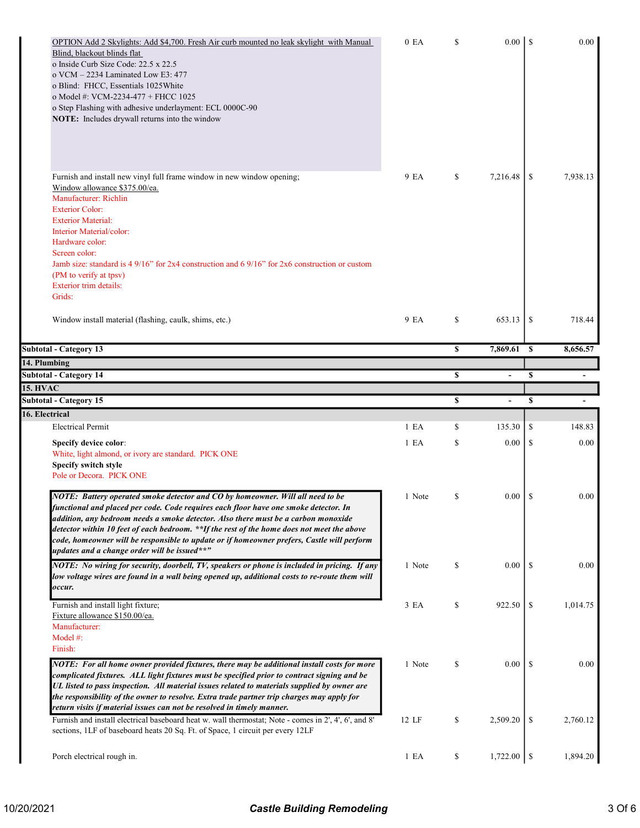| OPTION Add 2 Skylights: Add \$4,700. Fresh Air curb mounted no leak skylight with Manual<br>Blind, blackout blinds flat<br>o Inside Curb Size Code: 22.5 x 22.5<br>o VCM - 2234 Laminated Low E3: 477<br>o Blind: FHCC, Essentials 1025 White<br>o Model #: VCM-2234-477 + FHCC 1025<br>o Step Flashing with adhesive underlayment: ECL 0000C-90<br>NOTE: Includes drywall returns into the window                                                                                                       | 0 EA   | \$ | 0.00           | $\mathsf{I}$  | 0.00     |
|----------------------------------------------------------------------------------------------------------------------------------------------------------------------------------------------------------------------------------------------------------------------------------------------------------------------------------------------------------------------------------------------------------------------------------------------------------------------------------------------------------|--------|----|----------------|---------------|----------|
| Furnish and install new vinyl full frame window in new window opening;<br>Window allowance \$375.00/ea.<br>Manufacturer: Richlin<br><b>Exterior Color:</b><br><b>Exterior Material:</b><br>Interior Material/color:<br>Hardware color:<br>Screen color:<br>Jamb size: standard is 4 $9/16$ " for 2x4 construction and 6 $9/16$ " for 2x6 construction or custom<br>(PM to verify at tpsv)<br><b>Exterior trim details:</b><br>Grids:                                                                     | 9 EA   | \$ | 7.216.48       | \$            | 7,938.13 |
| Window install material (flashing, caulk, shims, etc.)                                                                                                                                                                                                                                                                                                                                                                                                                                                   | 9 EA   | \$ | 653.13         | \$            | 718.44   |
| <b>Subtotal - Category 13</b>                                                                                                                                                                                                                                                                                                                                                                                                                                                                            |        | S  | 7,869.61 \$    |               | 8,656.57 |
| 14. Plumbing                                                                                                                                                                                                                                                                                                                                                                                                                                                                                             |        |    |                |               |          |
| <b>Subtotal - Category 14</b>                                                                                                                                                                                                                                                                                                                                                                                                                                                                            |        | \$ | $\overline{a}$ | \$            |          |
| <b>15. HVAC</b>                                                                                                                                                                                                                                                                                                                                                                                                                                                                                          |        |    |                |               |          |
| <b>Subtotal - Category 15</b>                                                                                                                                                                                                                                                                                                                                                                                                                                                                            |        | \$ | ÷,             | \$            |          |
|                                                                                                                                                                                                                                                                                                                                                                                                                                                                                                          |        |    |                |               |          |
| 16. Electrical                                                                                                                                                                                                                                                                                                                                                                                                                                                                                           |        |    |                |               |          |
| <b>Electrical Permit</b>                                                                                                                                                                                                                                                                                                                                                                                                                                                                                 | 1 E A  | \$ | 135.30         | \$            | 148.83   |
| Specify device color:<br>White, light almond, or ivory are standard. PICK ONE<br>Specify switch style<br>Pole or Decora. PICK ONE                                                                                                                                                                                                                                                                                                                                                                        | 1 E A  | \$ | 0.00           | \$            | 0.00     |
| NOTE: Battery operated smoke detector and CO by homeowner. Will all need to be<br>functional and placed per code. Code requires each floor have one smoke detector. In<br>addition, any bedroom needs a smoke detector. Also there must be a carbon monoxide<br>detector within 10 feet of each bedroom. **If the rest of the home does not meet the above<br>code, homeowner will be responsible to update or if homeowner prefers, Castle will perform<br>updates and a change order will be issued**" | 1 Note | \$ | 0.00           | \$            | 0.00     |
| NOTE: No wiring for security, doorbell, TV, speakers or phone is included in pricing. If any<br>low voltage wires are found in a wall being opened up, additional costs to re-route them will<br>occur.                                                                                                                                                                                                                                                                                                  | 1 Note | \$ | 0.00           | <sup>\$</sup> | 0.00     |
| Furnish and install light fixture;<br>Fixture allowance \$150.00/ea.<br>Manufacturer:<br>Model #:<br>Finish:                                                                                                                                                                                                                                                                                                                                                                                             | 3 EA   | \$ | 922.50         | \$            | 1,014.75 |
| NOTE: For all home owner provided fixtures, there may be additional install costs for more<br>complicated fixtures. ALL light fixtures must be specified prior to contract signing and be<br>UL listed to pass inspection. All material issues related to materials supplied by owner are<br>the responsibility of the owner to resolve. Extra trade partner trip charges may apply for                                                                                                                  | 1 Note | \$ | 0.00           | <sup>\$</sup> | 0.00     |
| return visits if material issues can not be resolved in timely manner.<br>Furnish and install electrical baseboard heat w. wall thermostat; Note - comes in 2', 4', 6', and 8'<br>sections, 1LF of baseboard heats 20 Sq. Ft. of Space, 1 circuit per every 12LF                                                                                                                                                                                                                                         | 12 LF  | \$ | 2,509.20       | \$            | 2,760.12 |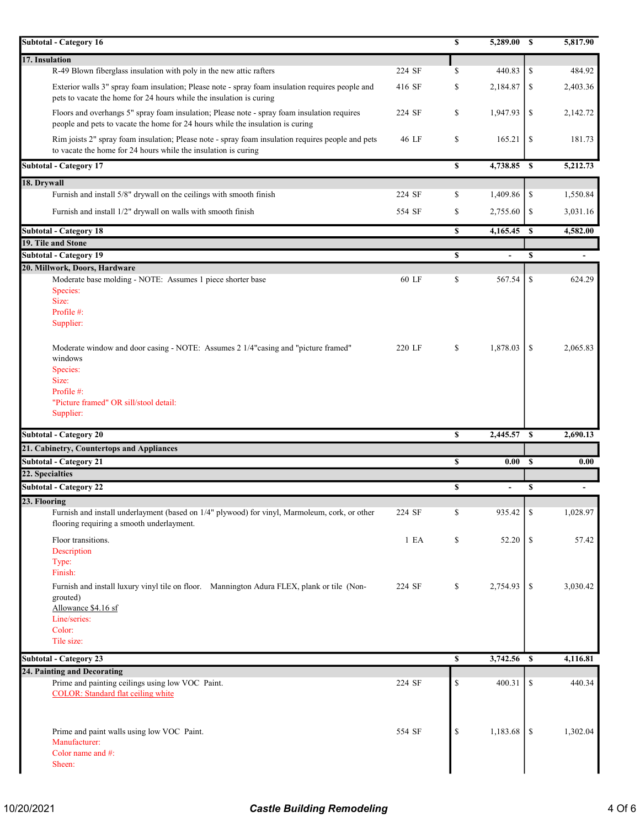| <b>Subtotal - Category 16</b>                                                                                                                                                 |        | \$          | 5,289.00      | -S            | 5,817.90                 |
|-------------------------------------------------------------------------------------------------------------------------------------------------------------------------------|--------|-------------|---------------|---------------|--------------------------|
| 17. Insulation                                                                                                                                                                |        |             |               |               |                          |
| R-49 Blown fiberglass insulation with poly in the new attic rafters                                                                                                           | 224 SF | \$          | 440.83        | \$            | 484.92                   |
| Exterior walls 3" spray foam insulation; Please note - spray foam insulation requires people and<br>pets to vacate the home for 24 hours while the insulation is curing       | 416 SF | \$          | 2,184.87      | \$            | 2,403.36                 |
| Floors and overhangs 5" spray foam insulation; Please note - spray foam insulation requires<br>people and pets to vacate the home for 24 hours while the insulation is curing | 224 SF | \$          | 1,947.93      | \$            | 2,142.72                 |
| Rim joists 2" spray foam insulation; Please note - spray foam insulation requires people and pets<br>to vacate the home for 24 hours while the insulation is curing           | 46 LF  | \$          | 165.21        | \$            | 181.73                   |
| <b>Subtotal - Category 17</b>                                                                                                                                                 |        | $\mathbf s$ | $4,738.85$ \$ |               | 5,212.73                 |
| 18. Drywall                                                                                                                                                                   |        |             |               |               |                          |
| Furnish and install 5/8" drywall on the ceilings with smooth finish                                                                                                           | 224 SF | \$          | 1,409.86      | \$            | 1,550.84                 |
| Furnish and install 1/2" drywall on walls with smooth finish                                                                                                                  | 554 SF | \$          | 2,755.60      | \$            | 3,031.16                 |
| <b>Subtotal - Category 18</b>                                                                                                                                                 |        | S           | 4,165.45      | <sup>\$</sup> | 4,582.00                 |
| 19. Tile and Stone                                                                                                                                                            |        |             |               |               |                          |
| <b>Subtotal - Category 19</b>                                                                                                                                                 |        | \$          | ÷,            | \$            | $\overline{\phantom{a}}$ |
| 20. Millwork, Doors, Hardware                                                                                                                                                 |        |             |               |               |                          |
| Moderate base molding - NOTE: Assumes 1 piece shorter base                                                                                                                    | 60 LF  | \$          | 567.54        | \$            | 624.29                   |
| Species:                                                                                                                                                                      |        |             |               |               |                          |
| Size:<br>Profile #:                                                                                                                                                           |        |             |               |               |                          |
| Supplier:                                                                                                                                                                     |        |             |               |               |                          |
|                                                                                                                                                                               |        |             |               |               |                          |
| Moderate window and door casing - NOTE: Assumes 2 1/4"casing and "picture framed"                                                                                             | 220 LF | \$          | 1,878.03      | S             | 2,065.83                 |
| windows                                                                                                                                                                       |        |             |               |               |                          |
| Species:                                                                                                                                                                      |        |             |               |               |                          |
| Size:                                                                                                                                                                         |        |             |               |               |                          |
| Profile #:                                                                                                                                                                    |        |             |               |               |                          |
| "Picture framed" OR sill/stool detail:                                                                                                                                        |        |             |               |               |                          |
|                                                                                                                                                                               |        |             |               |               |                          |
| Supplier:                                                                                                                                                                     |        |             |               |               |                          |
| <b>Subtotal - Category 20</b>                                                                                                                                                 |        | \$          | 2,445.57 \$   |               | 2,690.13                 |
| 21. Cabinetry, Countertops and Appliances                                                                                                                                     |        |             |               |               |                          |
| <b>Subtotal - Category 21</b>                                                                                                                                                 |        | \$          | 0.00          | $\mathbf{s}$  | 0.00                     |
| 22. Specialties                                                                                                                                                               |        |             |               |               |                          |
| <b>Subtotal - Category 22</b>                                                                                                                                                 |        | \$          | ÷,            | \$            | $\blacksquare$           |
| 23. Flooring                                                                                                                                                                  |        |             |               |               |                          |
| Furnish and install underlayment (based on 1/4" plywood) for vinyl, Marmoleum, cork, or other<br>flooring requiring a smooth underlayment.                                    | 224 SF | \$          | 935.42        | \$            | 1,028.97                 |
| Floor transitions.                                                                                                                                                            | 1 EA   | \$          | 52.20         | \$            | 57.42                    |
| Description                                                                                                                                                                   |        |             |               |               |                          |
| Type:                                                                                                                                                                         |        |             |               |               |                          |
| Finish:                                                                                                                                                                       |        |             |               |               |                          |
| Furnish and install luxury vinyl tile on floor. Mannington Adura FLEX, plank or tile (Non-                                                                                    | 224 SF | \$          | 2,754.93      | \$            | 3,030.42                 |
| grouted)                                                                                                                                                                      |        |             |               |               |                          |
| Allowance \$4.16 sf                                                                                                                                                           |        |             |               |               |                          |
| Line/series:<br>Color:                                                                                                                                                        |        |             |               |               |                          |
| Tile size:                                                                                                                                                                    |        |             |               |               |                          |
|                                                                                                                                                                               |        |             |               |               |                          |
| <b>Subtotal - Category 23</b>                                                                                                                                                 |        | \$          | 3,742.56      | \$            | 4,116.81                 |
| 24. Painting and Decorating                                                                                                                                                   | 224 SF | \$          | 400.31        | \$            | 440.34                   |
| Prime and painting ceilings using low VOC Paint.<br><b>COLOR:</b> Standard flat ceiling white                                                                                 |        |             |               |               |                          |
|                                                                                                                                                                               |        |             |               |               |                          |
|                                                                                                                                                                               |        |             |               |               |                          |
| Prime and paint walls using low VOC Paint.                                                                                                                                    | 554 SF | \$          | 1,183.68      | <sup>\$</sup> | 1,302.04                 |
| Manufacturer:                                                                                                                                                                 |        |             |               |               |                          |
| Color name and #:<br>Sheen:                                                                                                                                                   |        |             |               |               |                          |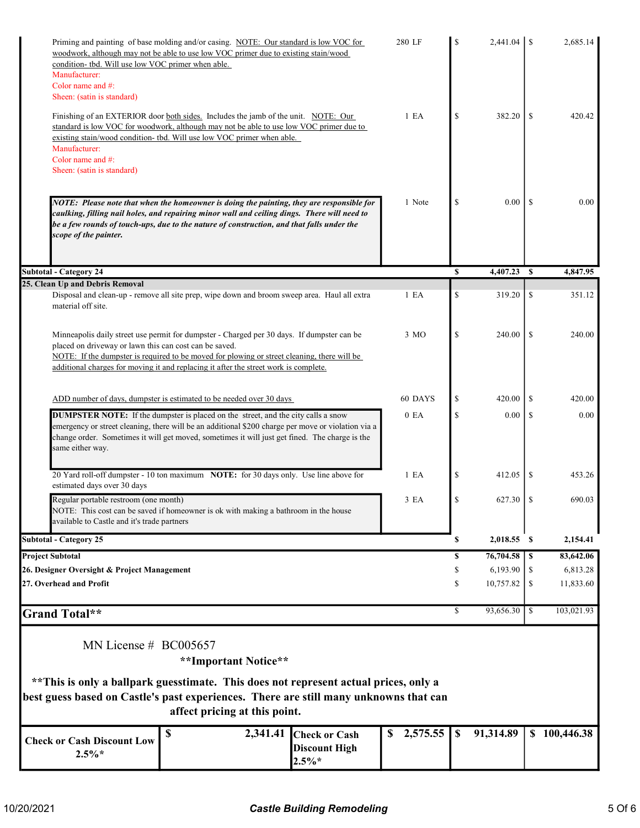| condition- tbd. Will use low VOC primer when able.<br>Manufacturer:<br>Color name and #: | Priming and painting of base molding and/or casing. NOTE: Our standard is low VOC for<br>woodwork, although may not be able to use low VOC primer due to existing stain/wood                                                                                                                     |                                                          | 280 LF           | \$            |                       |               | 2,685.14              |
|------------------------------------------------------------------------------------------|--------------------------------------------------------------------------------------------------------------------------------------------------------------------------------------------------------------------------------------------------------------------------------------------------|----------------------------------------------------------|------------------|---------------|-----------------------|---------------|-----------------------|
| Sheen: (satin is standard)                                                               |                                                                                                                                                                                                                                                                                                  |                                                          |                  |               |                       |               |                       |
| Manufacturer:<br>Color name and $#$ :                                                    | Finishing of an EXTERIOR door both sides. Includes the jamb of the unit. NOTE: Our<br>standard is low VOC for woodwork, although may not be able to use low VOC primer due to<br>existing stain/wood condition- tbd. Will use low VOC primer when able.                                          |                                                          | 1 E A            | \$            | 382.20                | \$            | 420.42                |
| Sheen: (satin is standard)                                                               |                                                                                                                                                                                                                                                                                                  |                                                          |                  |               |                       |               |                       |
|                                                                                          |                                                                                                                                                                                                                                                                                                  |                                                          |                  |               |                       |               |                       |
| scope of the painter.                                                                    | NOTE: Please note that when the homeowner is doing the painting, they are responsible for<br>caulking, filling nail holes, and repairing minor wall and ceiling dings. There will need to<br>be a few rounds of touch-ups, due to the nature of construction, and that falls under the           |                                                          | 1 Note           | \$            | 0.00                  | <b>S</b>      | 0.00                  |
| <b>Subtotal - Category 24</b>                                                            |                                                                                                                                                                                                                                                                                                  |                                                          |                  | $\mathbf S$   | 4,407.23              | S             | 4,847.95              |
| 25. Clean Up and Debris Removal                                                          | Disposal and clean-up - remove all site prep, wipe down and broom sweep area. Haul all extra                                                                                                                                                                                                     |                                                          | 1 E A            | \$            | 319.20                | \$            | 351.12                |
| material off site.                                                                       |                                                                                                                                                                                                                                                                                                  |                                                          |                  |               |                       |               |                       |
| placed on driveway or lawn this can cost can be saved.                                   | Minneapolis daily street use permit for dumpster - Charged per 30 days. If dumpster can be<br>NOTE: If the dumpster is required to be moved for plowing or street cleaning, there will be<br>additional charges for moving it and replacing it after the street work is complete.                |                                                          | 3 MO             | \$            | 240.00                | \$            | 240.00                |
|                                                                                          |                                                                                                                                                                                                                                                                                                  |                                                          |                  |               |                       |               |                       |
|                                                                                          | ADD number of days, dumpster is estimated to be needed over 30 days                                                                                                                                                                                                                              |                                                          | 60 DAYS          | \$            | 420.00                | S             | 420.00                |
| same either way.                                                                         | <b>DUMPSTER NOTE:</b> If the dumpster is placed on the street, and the city calls a snow<br>emergency or street cleaning, there will be an additional \$200 charge per move or violation via a<br>change order. Sometimes it will get moved, sometimes it will just get fined. The charge is the |                                                          | 0 E <sub>A</sub> | \$            | 0.00                  | S             | 0.00                  |
| estimated days over 30 days                                                              | 20 Yard roll-off dumpster - 10 ton maximum NOTE: for 30 days only. Use line above for                                                                                                                                                                                                            |                                                          | 1 E <sub>A</sub> | \$            | 412.05                | S             | 453.26                |
| Regular portable restroom (one month)<br>available to Castle and it's trade partners     | NOTE: This cost can be saved if homeowner is ok with making a bathroom in the house                                                                                                                                                                                                              |                                                          | 3 EA             | \$            | 627.30                | -S            | 690.03                |
| <b>Subtotal - Category 25</b>                                                            |                                                                                                                                                                                                                                                                                                  |                                                          |                  | \$            | 2,018.55 \$           |               | 2,154.41              |
| <b>Project Subtotal</b>                                                                  |                                                                                                                                                                                                                                                                                                  |                                                          |                  | \$            | 76,704.58             | \$            | 83,642.06             |
| 26. Designer Oversight & Project Management<br>27. Overhead and Profit                   |                                                                                                                                                                                                                                                                                                  |                                                          |                  | \$<br>\$      | 6,193.90<br>10,757.82 | \$<br>\$      | 6,813.28<br>11,833.60 |
| <b>Grand Total**</b>                                                                     |                                                                                                                                                                                                                                                                                                  |                                                          |                  | \$            | 93,656.30             | <sup>\$</sup> | 103,021.93            |
| MN License $# \text{ BCO}05657$                                                          | **Important Notice**                                                                                                                                                                                                                                                                             |                                                          |                  |               |                       |               |                       |
|                                                                                          | ** This is only a ballpark guesstimate. This does not represent actual prices, only a<br>best guess based on Castle's past experiences. There are still many unknowns that can<br>affect pricing at this point.                                                                                  |                                                          |                  |               |                       |               |                       |
| <b>Check or Cash Discount Low</b><br>$2.5\%*$                                            | \$<br>2,341.41                                                                                                                                                                                                                                                                                   | <b>Check or Cash</b><br><b>Discount High</b><br>$2.5\%*$ | 2,575.55<br>\$   | $\mathbf{\$}$ | 91,314.89             |               | \$100,446.38          |